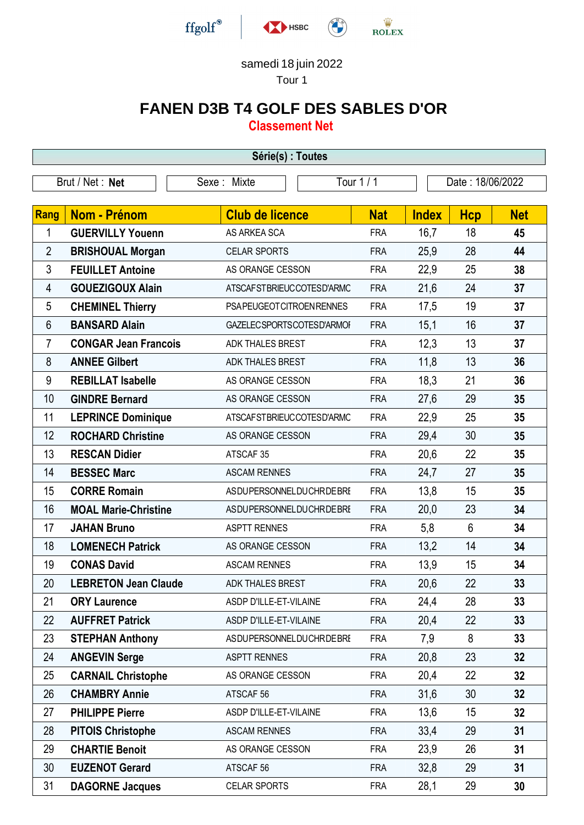

## samedi 18 juin 2022

Tour 1

## **FANEN D3B T4 GOLF DES SABLES D'OR**

**Classement Net**

| Série(s) : Toutes |                             |                                |            |                  |                |            |  |  |  |  |
|-------------------|-----------------------------|--------------------------------|------------|------------------|----------------|------------|--|--|--|--|
| Brut / Net: Net   |                             | Sexe: Mixte                    | Tour 1 / 1 | Date: 18/06/2022 |                |            |  |  |  |  |
|                   |                             |                                |            |                  |                |            |  |  |  |  |
| Rang              | <b>Nom - Prénom</b>         | <b>Club de licence</b>         | <b>Nat</b> | <b>Index</b>     | <b>Hcp</b>     | <b>Net</b> |  |  |  |  |
| 1                 | <b>GUERVILLY Youenn</b>     | AS ARKEA SCA                   | <b>FRA</b> | 16,7             | 18             | 45         |  |  |  |  |
| $\overline{2}$    | <b>BRISHOUAL Morgan</b>     | <b>CELAR SPORTS</b>            | <b>FRA</b> | 25,9             | 28             | 44         |  |  |  |  |
| $\mathfrak{Z}$    | <b>FEUILLET Antoine</b>     | AS ORANGE CESSON               | <b>FRA</b> | 22,9             | 25             | 38         |  |  |  |  |
| 4                 | <b>GOUEZIGOUX Alain</b>     | ATSCAFSTBRIEUCCOTESD'ARMC      | <b>FRA</b> | 21,6             | 24             | 37         |  |  |  |  |
| $\sqrt{5}$        | <b>CHEMINEL Thierry</b>     | PSAPEUGEOTCITROENRENNES        | <b>FRA</b> | 17,5             | 19             | 37         |  |  |  |  |
| 6                 | <b>BANSARD Alain</b>        | GAZELECSPORTSCOTESD'ARMOI      | <b>FRA</b> | 15,1             | 16             | 37         |  |  |  |  |
| $\overline{7}$    | <b>CONGAR Jean Francois</b> | <b>ADK THALES BREST</b>        | <b>FRA</b> | 12,3             | 13             | 37         |  |  |  |  |
| 8                 | <b>ANNEE Gilbert</b>        | <b>ADK THALES BREST</b>        | <b>FRA</b> | 11,8             | 13             | 36         |  |  |  |  |
| 9                 | <b>REBILLAT Isabelle</b>    | AS ORANGE CESSON               | <b>FRA</b> | 18,3             | 21             | 36         |  |  |  |  |
| 10                | <b>GINDRE Bernard</b>       | AS ORANGE CESSON               | <b>FRA</b> | 27,6             | 29             | 35         |  |  |  |  |
| 11                | <b>LEPRINCE Dominique</b>   | ATSCAFSTBRIEUCCOTESD'ARMC      | <b>FRA</b> | 22,9             | 25             | 35         |  |  |  |  |
| 12                | <b>ROCHARD Christine</b>    | AS ORANGE CESSON               | <b>FRA</b> | 29,4             | 30             | 35         |  |  |  |  |
| 13                | <b>RESCAN Didier</b>        | ATSCAF <sub>35</sub>           | <b>FRA</b> | 20,6             | 22             | 35         |  |  |  |  |
| 14                | <b>BESSEC Marc</b>          | <b>ASCAM RENNES</b>            | <b>FRA</b> | 24,7             | 27             | 35         |  |  |  |  |
| 15                | <b>CORRE Romain</b>         | <b>ASDUPERSONNELDUCHRDEBRI</b> | <b>FRA</b> | 13,8             | 15             | 35         |  |  |  |  |
| 16                | <b>MOAL Marie-Christine</b> | ASDUPERSONNELDUCHRDEBRI        | <b>FRA</b> | 20,0             | 23             | 34         |  |  |  |  |
| 17                | <b>JAHAN Bruno</b>          | <b>ASPTT RENNES</b>            | <b>FRA</b> | 5,8              | $6\phantom{1}$ | 34         |  |  |  |  |
| 18                | <b>LOMENECH Patrick</b>     | AS ORANGE CESSON               | <b>FRA</b> | 13,2             | 14             | 34         |  |  |  |  |
| 19                | <b>CONAS David</b>          | <b>ASCAM RENNES</b>            | <b>FRA</b> | 13,9             | 15             | 34         |  |  |  |  |
| 20                | <b>LEBRETON Jean Claude</b> | <b>ADK THALES BREST</b>        | <b>FRA</b> | 20,6             | 22             | 33         |  |  |  |  |
| 21                | <b>ORY Laurence</b>         | ASDP D'ILLE-ET-VILAINE         | <b>FRA</b> | 24,4             | 28             | 33         |  |  |  |  |
| 22                | <b>AUFFRET Patrick</b>      | ASDP D'ILLE-ET-VILAINE         | <b>FRA</b> | 20,4             | 22             | 33         |  |  |  |  |
| 23                | <b>STEPHAN Anthony</b>      | ASDUPERSONNELDUCHRDEBRI        | <b>FRA</b> | 7,9              | 8              | 33         |  |  |  |  |
| 24                | <b>ANGEVIN Serge</b>        | <b>ASPTT RENNES</b>            | <b>FRA</b> | 20,8             | 23             | 32         |  |  |  |  |
| 25                | <b>CARNAIL Christophe</b>   | AS ORANGE CESSON               | <b>FRA</b> | 20,4             | 22             | 32         |  |  |  |  |
| 26                | <b>CHAMBRY Annie</b>        | ATSCAF <sub>56</sub>           | <b>FRA</b> | 31,6             | 30             | 32         |  |  |  |  |
| 27                | <b>PHILIPPE Pierre</b>      | ASDP D'ILLE-ET-VILAINE         | <b>FRA</b> | 13,6             | 15             | 32         |  |  |  |  |
| 28                | <b>PITOIS Christophe</b>    | <b>ASCAM RENNES</b>            | <b>FRA</b> | 33,4             | 29             | 31         |  |  |  |  |
| 29                | <b>CHARTIE Benoit</b>       | AS ORANGE CESSON               | <b>FRA</b> | 23,9             | 26             | 31         |  |  |  |  |
| 30                | <b>EUZENOT Gerard</b>       | ATSCAF <sub>56</sub>           | <b>FRA</b> | 32,8             | 29             | 31         |  |  |  |  |
| 31                | <b>DAGORNE Jacques</b>      | CELAR SPORTS                   | <b>FRA</b> | 28,1             | 29             | 30         |  |  |  |  |